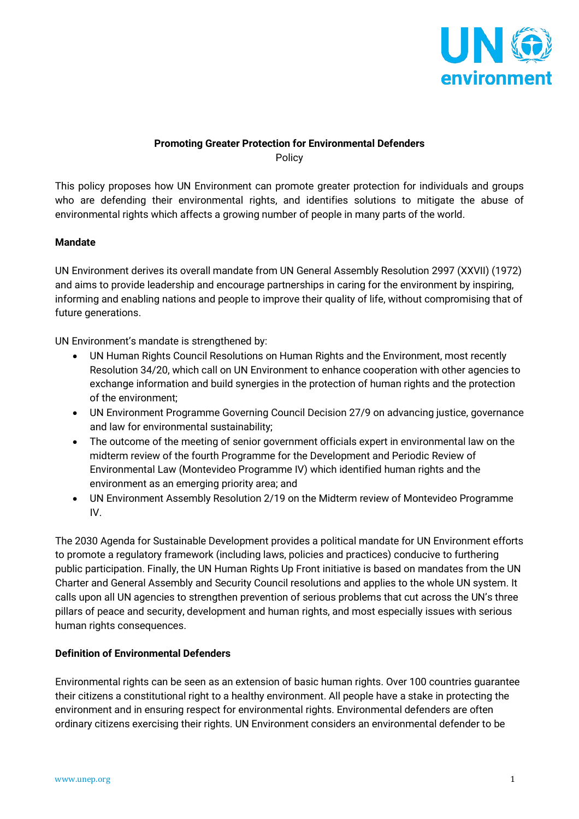

## **Promoting Greater Protection for Environmental Defenders** Policy

This policy proposes how UN Environment can promote greater protection for individuals and groups who are defending their environmental rights, and identifies solutions to mitigate the abuse of environmental rights which affects a growing number of people in many parts of the world.

## **Mandate**

UN Environment derives its overall mandate from UN General Assembly Resolution 2997 (XXVII) (1972) and aims to provide leadership and encourage partnerships in caring for the environment by inspiring, informing and enabling nations and people to improve their quality of life, without compromising that of future generations.

UN Environment's mandate is strengthened by:

- UN Human Rights Council Resolutions on Human Rights and the Environment, most recently Resolution 34/20, which call on UN Environment to enhance cooperation with other agencies to exchange information and build synergies in the protection of human rights and the protection of the environment;
- UN Environment Programme Governing Council Decision 27/9 on advancing justice, governance and law for environmental sustainability;
- The outcome of the meeting of senior government officials expert in environmental law on the midterm review of the fourth Programme for the Development and Periodic Review of Environmental Law (Montevideo Programme IV) which identified human rights and the environment as an emerging priority area; and
- UN Environment Assembly Resolution 2/19 on the Midterm review of Montevideo Programme IV.

The 2030 Agenda for Sustainable Development provides a political mandate for UN Environment efforts to promote a regulatory framework (including laws, policies and practices) conducive to furthering public participation. Finally, the UN Human Rights Up Front initiative is based on mandates from the UN Charter and General Assembly and Security Council resolutions and applies to the whole UN system. It calls upon all UN agencies to strengthen prevention of serious problems that cut across the UN's three pillars of peace and security, development and human rights, and most especially issues with serious human rights consequences.

#### **Definition of Environmental Defenders**

Environmental rights can be seen as an extension of basic human rights. Over 100 countries guarantee their citizens a constitutional right to a healthy environment. All people have a stake in protecting the environment and in ensuring respect for environmental rights. Environmental defenders are often ordinary citizens exercising their rights. UN Environment considers an environmental defender to be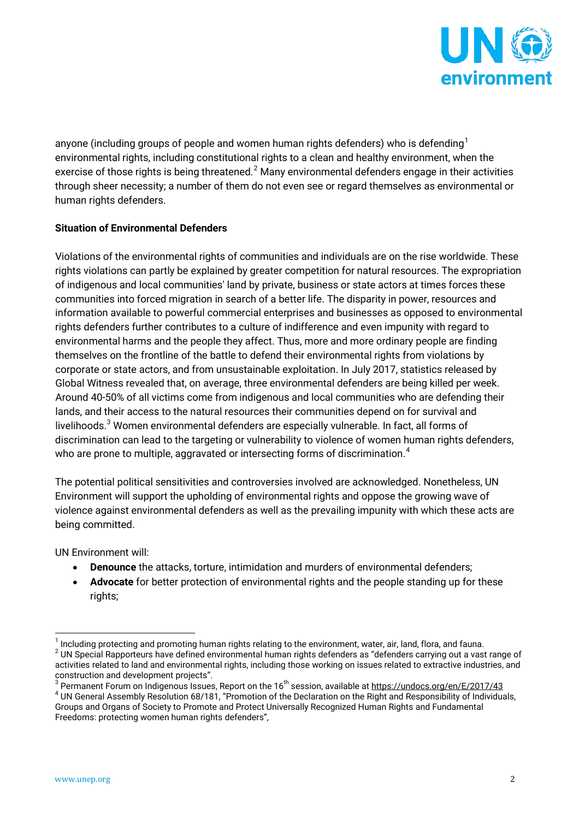

anyone (including groups of people and women human rights defenders) who is defending<sup>[1](#page-1-0)</sup> environmental rights, including constitutional rights to a clean and healthy environment, when the exercise of those rights is being threatened. $^2$  $^2$  Many environmental defenders engage in their activities through sheer necessity; a number of them do not even see or regard themselves as environmental or human rights defenders.

# **Situation of Environmental Defenders**

Violations of the environmental rights of communities and individuals are on the rise worldwide. These rights violations can partly be explained by greater competition for natural resources. The expropriation of indigenous and local communities' land by private, business or state actors at times forces these communities into forced migration in search of a better life. The disparity in power, resources and information available to powerful commercial enterprises and businesses as opposed to environmental rights defenders further contributes to a culture of indifference and even impunity with regard to environmental harms and the people they affect. Thus, more and more ordinary people are finding themselves on the frontline of the battle to defend their environmental rights from violations by corporate or state actors, and from unsustainable exploitation. In July 2017, statistics released by Global Witness revealed that, on average, three environmental defenders are being killed per week. Around 40-50% of all victims come from indigenous and local communities who are defending their lands, and their access to the natural resources their communities depend on for survival and livelihoods.<sup>[3](#page-1-2)</sup> Women environmental defenders are especially vulnerable. In fact, all forms of discrimination can lead to the targeting or vulnerability to violence of women human rights defenders, who are prone to multiple, aggravated or intersecting forms of discrimination. $^{\textrm{\text{4}}}$  $^{\textrm{\text{4}}}$  $^{\textrm{\text{4}}}$ 

The potential political sensitivities and controversies involved are acknowledged. Nonetheless, UN Environment will support the upholding of environmental rights and oppose the growing wave of violence against environmental defenders as well as the prevailing impunity with which these acts are being committed.

UN Environment will:

- **Denounce** the attacks, torture, intimidation and murders of environmental defenders;
- **Advocate** for better protection of environmental rights and the people standing up for these rights:

<span id="page-1-1"></span><span id="page-1-0"></span> $^1$  Including protecting and promoting human rights relating to the environment, water, air, land, flora, and fauna.<br><sup>2</sup> UN Special Rapporteurs have defined environmental human rights defenders as "defenders carrying out activities related to land and environmental rights, including those working on issues related to extractive industries, and<br>construction and development projects".

<span id="page-1-2"></span> $^3$  Permanent Forum on Indigenous Issues, Report on the 16<sup>th</sup> session, available at <https://undocs.org/en/E/2017/43><br> $^4$  UN General Assembly Resolution 68/181, "Promotion of the Declaration on the Right and Responsibili

<span id="page-1-3"></span>Groups and Organs of Society to Promote and Protect Universally Recognized Human Rights and Fundamental Freedoms: protecting women human rights defenders",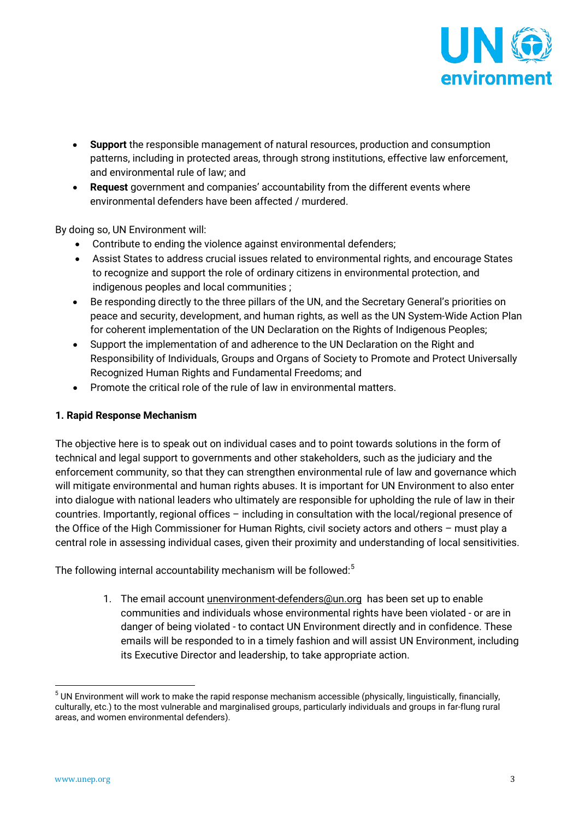

- **Support** the responsible management of natural resources, production and consumption patterns, including in protected areas, through strong institutions, effective law enforcement, and environmental rule of law; and
- **Request** government and companies' accountability from the different events where environmental defenders have been affected / murdered.

By doing so, UN Environment will:

- Contribute to ending the violence against environmental defenders;
- Assist States to address crucial issues related to environmental rights, and encourage States to recognize and support the role of ordinary citizens in environmental protection, and indigenous peoples and local communities ;
- Be responding directly to the three pillars of the UN, and the Secretary General's priorities on peace and security, development, and human rights, as well as the UN System-Wide Action Plan for coherent implementation of the UN Declaration on the Rights of Indigenous Peoples;
- Support the implementation of and adherence to the UN Declaration on the Right and Responsibility of Individuals, Groups and Organs of Society to Promote and Protect Universally Recognized Human Rights and Fundamental Freedoms; and
- Promote the critical role of the rule of law in environmental matters.

### **1. Rapid Response Mechanism**

The objective here is to speak out on individual cases and to point towards solutions in the form of technical and legal support to governments and other stakeholders, such as the judiciary and the enforcement community, so that they can strengthen environmental rule of law and governance which will mitigate environmental and human rights abuses. It is important for UN Environment to also enter into dialogue with national leaders who ultimately are responsible for upholding the rule of law in their countries. Importantly, regional offices – including in consultation with the local/regional presence of the Office of the High Commissioner for Human Rights, civil society actors and others – must play a central role in assessing individual cases, given their proximity and understanding of local sensitivities.

The following internal accountability mechanism will be followed: $^5$  $^5$ 

1. The email account *[unenvironment-defenders@un.org](mailto:unenvironment-defenders@un.org)* has been set up to enable communities and individuals whose environmental rights have been violated - or are in danger of being violated - to contact UN Environment directly and in confidence. These emails will be responded to in a timely fashion and will assist UN Environment, including its Executive Director and leadership, to take appropriate action.

<span id="page-2-0"></span> $5$  UN Environment will work to make the rapid response mechanism accessible (physically, linguistically, financially, culturally, etc.) to the most vulnerable and marginalised groups, particularly individuals and groups in far-flung rural areas, and women environmental defenders).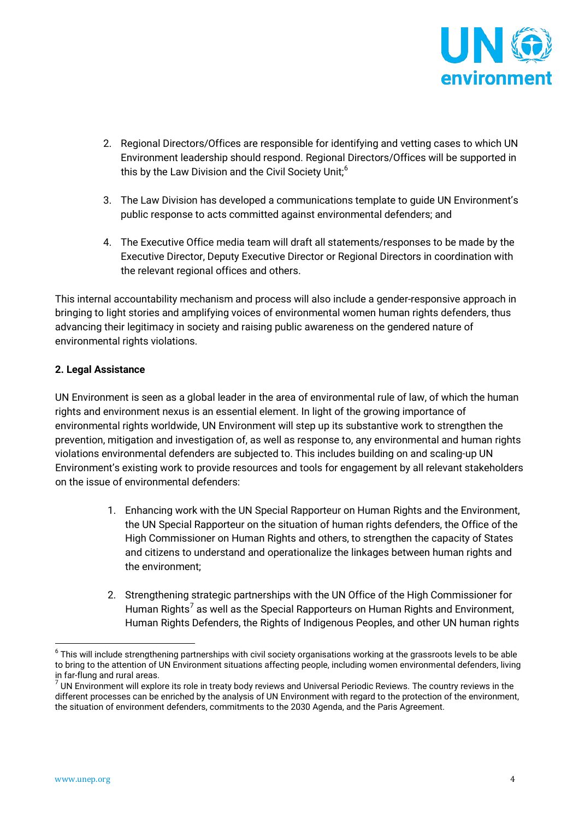

- 2. Regional Directors/Offices are responsible for identifying and vetting cases to which UN Environment leadership should respond. Regional Directors/Offices will be supported in this by the Law Division and the Civil Society Unit;<sup>[6](#page-3-0)</sup>
- 3. The Law Division has developed a communications template to guide UN Environment's public response to acts committed against environmental defenders; and
- 4. The Executive Office media team will draft all statements/responses to be made by the Executive Director, Deputy Executive Director or Regional Directors in coordination with the relevant regional offices and others.

This internal accountability mechanism and process will also include a gender-responsive approach in bringing to light stories and amplifying voices of environmental women human rights defenders, thus advancing their legitimacy in society and raising public awareness on the gendered nature of environmental rights violations.

# **2. Legal Assistance**

UN Environment is seen as a global leader in the area of environmental rule of law, of which the human rights and environment nexus is an essential element. In light of the growing importance of environmental rights worldwide, UN Environment will step up its substantive work to strengthen the prevention, mitigation and investigation of, as well as response to, any environmental and human rights violations environmental defenders are subjected to. This includes building on and scaling-up UN Environment's existing work to provide resources and tools for engagement by all relevant stakeholders on the issue of environmental defenders:

- 1. Enhancing work with the UN Special Rapporteur on Human Rights and the Environment, the UN Special Rapporteur on the situation of human rights defenders, the Office of the High Commissioner on Human Rights and others, to strengthen the capacity of States and citizens to understand and operationalize the linkages between human rights and the environment;
- 2. Strengthening strategic partnerships with the UN Office of the High Commissioner for Human Rights<sup>[7](#page-3-1)</sup> as well as the Special Rapporteurs on Human Rights and Environment, Human Rights Defenders, the Rights of Indigenous Peoples, and other UN human rights

<span id="page-3-0"></span> $6$  This will include strengthening partnerships with civil society organisations working at the grassroots levels to be able to bring to the attention of UN Environment situations affecting people, including women environmental defenders, living<br>in far-flung and rural areas.

<span id="page-3-1"></span> $<sup>7</sup>$  UN Environment will explore its role in treaty body reviews and Universal Periodic Reviews. The country reviews in the</sup> different processes can be enriched by the analysis of UN Environment with regard to the protection of the environment, the situation of environment defenders, commitments to the 2030 Agenda, and the Paris Agreement.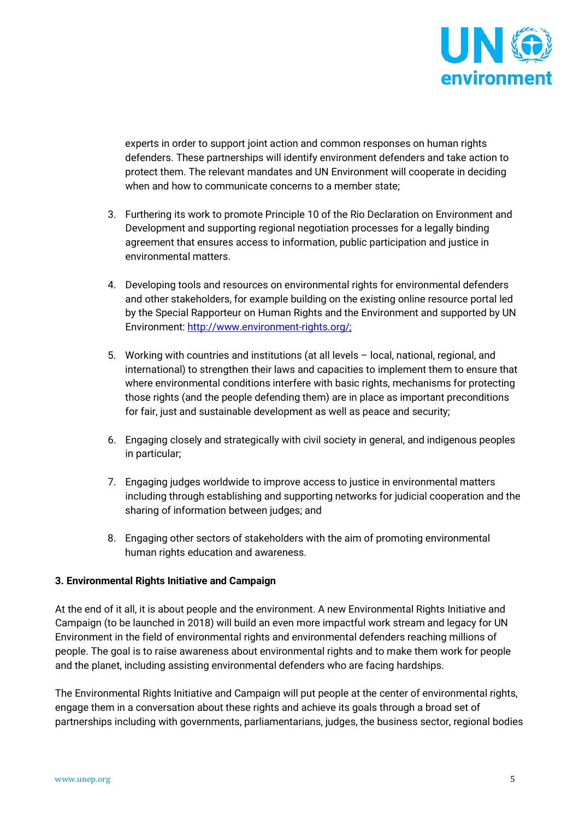

experts in order to support joint action and common responses on human rights defenders. These partnerships will identify environment defenders and take action to protect them. The relevant mandates and UN Environment will cooperate in deciding when and how to communicate concerns to a member state;

- 3. Furthering its work to promote Principle 10 of the Rio Declaration on Environment and Development and supporting regional negotiation processes for a legally binding agreement that ensures access to information, public participation and justice in environmental matters.
- 4. Developing tools and resources on environmental rights for environmental defenders and other stakeholders, for example building on the existing online resource portal led by the Special Rapporteur on Human Rights and the Environment and supported by UN Environment: [http://www.environment-rights.org/;](http://www.environment-rights.org/)
- 5. Working with countries and institutions (at all levels local, national, regional, and international) to strengthen their laws and capacities to implement them to ensure that where environmental conditions interfere with basic rights, mechanisms for protecting those rights (and the people defending them) are in place as important preconditions for fair, just and sustainable development as well as peace and security;
- 6. Engaging closely and strategically with civil society in general, and indigenous peoples in particular;
- 7. Engaging judges worldwide to improve access to justice in environmental matters including through establishing and supporting networks for judicial cooperation and the sharing of information between judges; and
- 8. Engaging other sectors of stakeholders with the aim of promoting environmental human rights education and awareness.

# **3. Environmental Rights Initiative and Campaign**

At the end of it all, it is about people and the environment. A new Environmental Rights Initiative and Campaign (to be launched in 2018) will build an even more impactful work stream and legacy for UN Environment in the field of environmental rights and environmental defenders reaching millions of people. The goal is to raise awareness about environmental rights and to make them work for people and the planet, including assisting environmental defenders who are facing hardships.

The Environmental Rights Initiative and Campaign will put people at the center of environmental rights, engage them in a conversation about these rights and achieve its goals through a broad set of partnerships including with governments, parliamentarians, judges, the business sector, regional bodies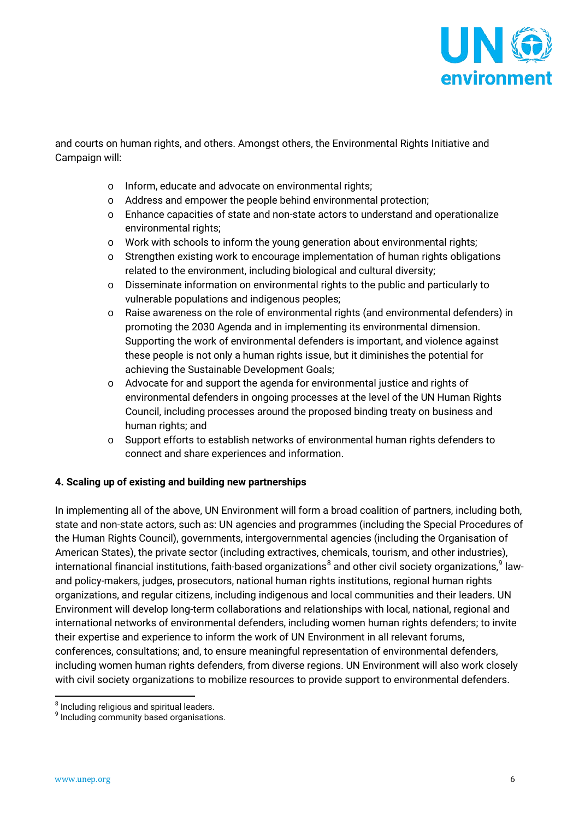

and courts on human rights, and others. Amongst others, the Environmental Rights Initiative and Campaign will:

- o Inform, educate and advocate on environmental rights;
- o Address and empower the people behind environmental protection;
- o Enhance capacities of state and non-state actors to understand and operationalize environmental rights;
- o Work with schools to inform the young generation about environmental rights;
- o Strengthen existing work to encourage implementation of human rights obligations related to the environment, including biological and cultural diversity;
- o Disseminate information on environmental rights to the public and particularly to vulnerable populations and indigenous peoples;
- o Raise awareness on the role of environmental rights (and environmental defenders) in promoting the 2030 Agenda and in implementing its environmental dimension. Supporting the work of environmental defenders is important, and violence against these people is not only a human rights issue, but it diminishes the potential for achieving the Sustainable Development Goals;
- o Advocate for and support the agenda for environmental justice and rights of environmental defenders in ongoing processes at the level of the UN Human Rights Council, including processes around the proposed binding treaty on business and human rights; and
- o Support efforts to establish networks of environmental human rights defenders to connect and share experiences and information.

#### **4. Scaling up of existing and building new partnerships**

In implementing all of the above, UN Environment will form a broad coalition of partners, including both, state and non-state actors, such as: UN agencies and programmes (including the Special Procedures of the Human Rights Council), governments, intergovernmental agencies (including the Organisation of American States), the private sector (including extractives, chemicals, tourism, and other industries), international financial institutions, faith-based organizations $^8$  $^8$  and other civil society organizations, $^9$  $^9$  lawand policy-makers, judges, prosecutors, national human rights institutions, regional human rights organizations, and regular citizens, including indigenous and local communities and their leaders. UN Environment will develop long-term collaborations and relationships with local, national, regional and international networks of environmental defenders, including women human rights defenders; to invite their expertise and experience to inform the work of UN Environment in all relevant forums, conferences, consultations; and, to ensure meaningful representation of environmental defenders, including women human rights defenders, from diverse regions. UN Environment will also work closely with civil society organizations to mobilize resources to provide support to environmental defenders.

<span id="page-5-1"></span><span id="page-5-0"></span> $8$  Including religious and spiritual leaders.<br> $9$  Including community based organisations.